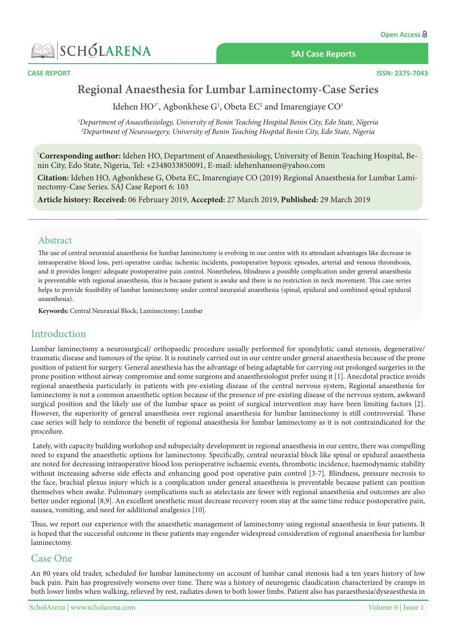

#### **SAJ Case Reports**



**CASE REPORT** 

# Regional Anaesthesia for Lumbar Laminectomy-Case Series

Idehen  $HO<sup>1*</sup>$ , Agbonkhese  $G<sup>1</sup>$ , Obeta EC<sup>2</sup> and Imarengiaye CO<sup>1</sup>

*<sup>1</sup>Department of Anaesthesiology, University of Benin Teaching Hospital Benin City, Edo State, Nigeria* <sup>2</sup>Department of Neurosurgery, University of Benin Teaching Hospital Benin City, Edo State, Nigeria

**\*Corresponding author:** Idehen HO, Department of Anaesthesiology, University of Benin Teaching Hospital, Be-<br>nin City, Edo State, Nigeria, Tel: +2348033850091, E-mail: idehenhanson@yahoo.com

**Citation:** Idehen HO, Agbonkhese G, Obeta EC, Imarengiaye CO (2019) Regional Anaesthesia for Lumbar Lami-<br>nectomy-Case Series. SAJ Case Report 6: 103

Article history: Received: 06 February 2019, Accepted: 27 March 2019, Published: 29 March 2019

## Abstract

The use of central neuraxial anaesthesia for lumbar laminectomy is evolving in our centre with its attendant advantages like decrease in intraoperative blood loss, peri-operative cardiac ischemic incidents, postoperative hypoxic episodes, arterial and venous thrombosis, and it provides longer/ adequate postoperative pain control. Nonetheless, blindness a possible complication under general anaesthesia is preventable with regional anaesthesia, this is because patient is awake and there is no restriction in neck movement. This case series helps to provide feasibility of lumbar laminectomy under central neuraxial anaesthesia (spinal, epidural and combined spinal epidural anaesthesia).

Keywords: Central Neuraxial Block; Laminectomy; Lumbar

# Introduction

Lumbar laminectomy a neurosurgical/ orthopaedic procedure usually performed for spondylotic canal stenosis, degenerative/ traumatic disease and tumours of the spine. It is routinely carried out in our centre under general anaesthesia because of the prone position of patient for surgery. General anesthesia has the advantage of being adaptable for carrying out prolonged surgeries in the prone position without airway compromise and some surgeons and anaesthesiologist prefer using it [1]. Anecdotal practice avoids regional anaesthesia particularly in patients with pre-existing disease of the central nervous system, Regional anaesthesia for laminectomy is not a common anaesthetic option because of the presence of pre-existing disease of the nervous system, awkward surgical position and the likely use of the lumbar space as point of surgical intervention may have been limiting factors [2]. However, the superiority of general anaesthesia over regional anaesthesia for lumbar laminectomy is still controversial. These case series will help to reinforce the benefit of regional anaesthesia for lumbar laminectomy as it is not contraindicated for the .procedure

Lately, with capacity building workshop and subspecialty development in regional anaesthesia in our centre, there was compelling need to expand the anaesthetic options for laminectomy. Specifically, central neuraxial block like spinal or epidural anaesthesia are noted for decreasing intraoperative blood loss perioperative ischaemic events, thrombotic incidence, haemodynamic stability without increasing adverse side effects and enhancing good post operative pain control [3-7]. Blindness, pressure necrosis to the face, brachial plexus injury which is a complication under general anaesthesia is preventable because patient can position themselves when awake. Pulmonary complications such as atelectasis are fewer with regional anaesthesia and outcomes are also better under regional [8,9]. An excellent anesthetic must decrease recovery room stay at the same time reduce postoperative pain, nausea, vomiting, and need for additional analgesics [10].

Thus, we report our experience with the anaesthetic management of laminectomy using regional anaesthesia in four patients. It is hoped that the successful outcome in these patients may engender widespread consideration of regional anaesthesia for lumbar laminectomy.

## Case One

An 80 years old trader, scheduled for lumbar laminectomy on account of lumbar canal stenosis had a ten years history of low back pain. Pain has progressively worsens over time. There was a history of neurogenic claudication characterized by cramps in both lower limbs when walking, relieved by rest, radiates down to both lower limbs. Patient also has paraesthesia/dyseaesthesia in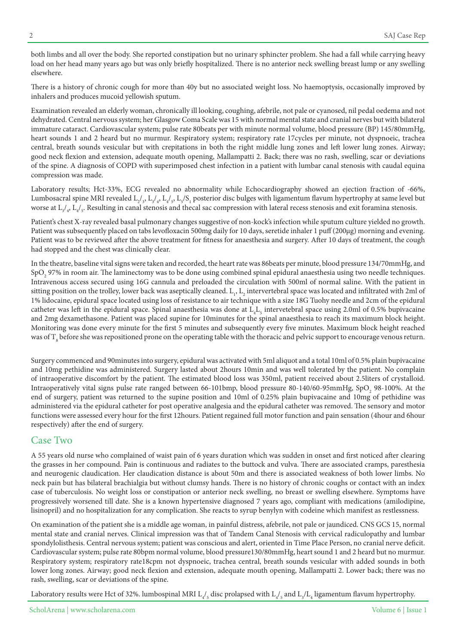both limbs and all over the body. She reported constipation but no urinary sphincter problem. She had a fall while carrying heavy load on her head many years ago but was only briefly hospitalized. There is no anterior neck swelling breast lump or any swelling elsewhere.

There is a history of chronic cough for more than 40y but no associated weight loss. No haemoptysis, occasionally improved by inhalers and produces mucoid yellowish sputum.

Examination revealed an elderly woman, chronically ill looking, coughing, afebrile, not pale or cyanosed, nil pedal oedema and not dehydrated. Central nervous system; her Glasgow Coma Scale was 15 with normal mental state and cranial nerves but with bilateral immature cataract. Cardiovascular system; pulse rate 80beats per with minute normal volume, blood pressure (BP) 145/80mmHg, heart sounds 1 and 2 heard but no murmur. Respiratory system; respiratory rate 17 cycles per minute, not dyspnoeic, trachea central, breath sounds vesicular but with crepitations in both the right middle lung zones and left lower lung zones. Airway, good neck flexion and extension, adequate mouth opening, Mallampatti 2. Back; there was no rash, swelling, scar or deviations of the spine. A diagnosis of COPD with superimposed chest infection in a patient with lumbar canal stenosis with caudal equina compression was made.

Laboratory results; Hct-33%, ECG revealed no abnormality while Echocardiography showed an ejection fraction of -66%, Lumbosacral spine MRI revealed  $\mathrm{L}_{2/3}$ ,  $\mathrm{L}_{3/4}$ ,  $\mathrm{L}_{4/5}$ ,  $\mathrm{L}_{5}/\mathrm{S}_{1}$  posterior disc bulges with ligamentum flavum hypertrophy at same level but worse at  $L_{3}/_{4}$ ,  $L_{4}/_{5}$ . Resulting in canal stenosis and thecal sac compression with lateral recess stenosis and exit foramina stenosis.

Patient's chest X-ray revealed basal pulmonary changes suggestive of non-kock's infection while sputum culture yielded no growth. Patient was subsequently placed on tabs levofloxacin 500mg daily for 10 days, seretide inhaler 1 puff (200µg) morning and evening. Patient was to be reviewed after the above treatment for fitness for anaesthesia and surgery. After 10 days of treatment, the cough had stopped and the chest was clinically clear.

In the theatre, baseline vital signs were taken and recorded, the heart rate was 86 beats per minute, blood pressure 134/70 mmHg, and  $\mathrm{SpO}_2$  97% in room air. The laminectomy was to be done using combined spinal epidural anaesthesia using two needle techniques. Intravenous access secured using 16G cannula and preloaded the circulation with 500ml of normal saline. With the patient in sitting position on the trolley, lower back was aseptically cleaned.  $\text{L}_1$ ,  $\text{L}_2$  intervertebral space was located and infiltrated with 2ml of 1% lidocaine, epidural space located using loss of resistance to air technique with a size 18G Tuohy needle and 2cm of the epidural catheter was left in the epidural space. Spinal anaesthesia was done at  $L_4L_5$  intervetebral space using 2.0ml of 0.5% bupivacaine and 2mg dexamethasone. Patient was placed supine for 10 minutes for the spinal anaesthesia to reach its maximum block height. Monitoring was done every minute for the first 5 minutes and subsequently every five minutes. Maximum block height reached was of  ${\rm T}_{\rm s}$  before she was repositioned prone on the operating table with the thoracic and pelvic support to encourage venous return.

Surgery commenced and 90minutes into surgery, epidural was activated with 5ml aliquot and a total 10ml of 0.5% plain bupivacaine and 10mg pethidine was administered. Surgery lasted about 2 hours 10 min and was well tolerated by the patient. No complain of intraoperative discomfort by the patient. The estimated blood loss was 350ml, patient received about 2.5 liters of crystalloid. Intraoperatively vital signs pulse rate ranged between 66-101bmp, blood pressure 80-140/60-95mmHg, SpO<sub>2</sub> 98-100%. At the end of surgery, patient was returned to the supine position and 10ml of 0.25% plain bupivacaine and 10mg of pethidine was administered via the epidural catheter for post operative analgesia and the epidural catheter was removed. The sensory and motor functions were assessed every hour for the first 12 hours. Patient regained full motor function and pain sensation (4 hour and 6 hour respectively) after the end of surgery.

## Case Two

A 55 years old nurse who complained of waist pain of 6 years duration which was sudden in onset and first noticed after clearing the grasses in her compound. Pain is continuous and radiates to the buttock and vulva. There are associated cramps, paresthesia and neurogenic claudication. Her claudication distance is about 50m and there is associated weakness of both lower limbs. No neck pain but has bilateral brachialgia but without clumsy hands. There is no history of chronic coughs or contact with an index case of tuberculosis. No weight loss or constipation or anterior neck swelling, no breast or swelling elsewhere. Symptoms have progressively worsened till date. She is a known hypertensive diagnosed 7 years ago, compliant with medications (amilodipine, lisinopril) and no hospitalization for any complication. She reacts to syrup benylyn with codeine which manifest as restlessness.

On examination of the patient she is a middle age woman, in painful distress, afebrile, not pale or jaundiced. CNS GCS 15, normal mental state and cranial nerves. Clinical impression was that of Tandem Canal Stenosis with cervical radiculopathy and lumbar spondylolisthesis. Central nervous system; patient was conscious and alert, oriented in Time Place Person, no cranial nerve deficit. Cardiovascular system; pulse rate 80bpm normal volume, blood pressure 130/80mmHg, heart sound 1 and 2 heard but no murmur. Respiratory system; respiratory rate18cpm not dyspnoeic, trachea central, breath sounds vesicular with added sounds in both lower long zones. Airway; good neck flexion and extension, adequate mouth opening, Mallampatti 2. Lower back; there was no rash, swelling, scar or deviations of the spine.

Laboratory results were Hct of 32%. lumbospinal MRI  $L_4$ , disc prolapsed with  $L_4$ , and  $L_3/L_4$  ligamentum flavum hypertrophy.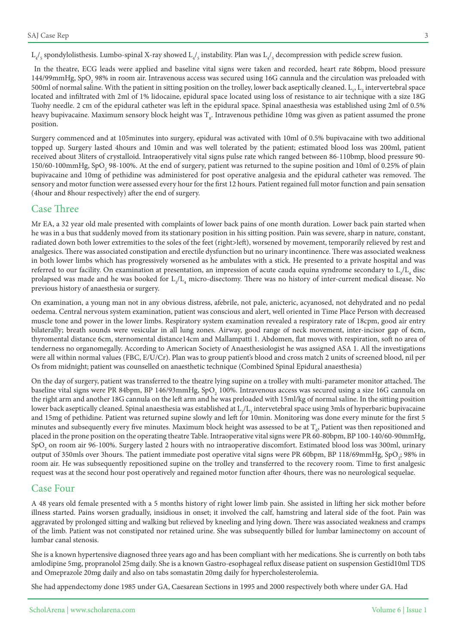${\rm L}_4$ /<sub>5</sub> spondylolisthesis. Lumbo-spinal X-ray showed  ${\rm L}_4$ /<sub>5</sub> instability. Plan was  ${\rm L}_4$ /<sub>5</sub> decompression with pedicle screw fusion.

In the theatre, ECG leads were applied and baseline vital signs were taken and recorded, heart rate 86bpm, blood pressure 144/99mmHg, SpO<sub>2</sub> 98% in room air. Intravenous access was secured using 16G cannula and the circulation was preloaded with 500ml of normal saline. With the patient in sitting position on the trolley, lower back aseptically cleaned.  $L_i$ ,  $L_i$  intervertebral space located and infiltrated with 2ml of 1% lidocaine, epidural space located using loss of resistance to air technique with a size 18G Tuohy needle. 2 cm of the epidural catheter was left in the epidural space. Spinal anaesthesia was established using 2ml of 0.5% heavy bupivacaine. Maximum sensory block height was  $\rm T_{\rm g}$ . Intravenous pethidine 10mg was given as patient assumed the prone .position

Surgery commenced and at 105minutes into surgery, epidural was activated with 10ml of 0.5% bupivacaine with two additional topped up. Surgery lasted 4hours and 10min and was well tolerated by the patient; estimated blood loss was 200ml, patient received about 3liters of crystalloid. Intraoperatively vital signs pulse rate which ranged between 86-110 bmp, blood pressure 90-150/60-100mmHg, SpO<sub>2</sub> 98-100%. At the end of surgery, patient was returned to the supine position and 10ml of 0.25% of plain bupivacaine and 10mg of pethidine was administered for post operative analgesia and the epidural catheter was removed. The sensory and motor function were assessed every hour for the first 12 hours. Patient regained full motor function and pain sensation (4 hour and 8 hour respectively) after the end of surgery.

### Case Three

We EA, a 32 year old male presented with complaints of lower back pains of one month duration. Lower back pain started when he was in a bus that suddenly moved from its stationary position in his sitting position. Pain was severe, sharp in nature, constant, radiated down both lower extremities to the soles of the feet (right>left), worsened by movement, temporarily relieved by rest and analgesics. There was associated constipation and erectile dysfunction but no urinary incontinence. There was associated weakness in both lower limbs which has progressively worsened as he ambulates with a stick. He presented to a private hospital and was referred to our facility. On examination at presentation, an impression of acute cauda equina syndrome secondary to  $L_{3}/L_{4}$  disc prolapsed was made and he was booked for  $L_y/L_4$  micro-disectomy. There was no history of inter-current medical disease. No previous history of anaesthesia or surgery.

On examination, a young man not in any obvious distress, afebrile, not pale, anicteric, acyanosed, not dehydrated and no pedal oedema. Central nervous system examination, patient was conscious and alert, well oriented in Time Place Person with decreased muscle tone and power in the lower limbs. Respiratory system examination revealed a respiratory rate of 18cpm, good air entry bilaterally; breath sounds were vesicular in all lung zones. Airway, good range of neck movement, inter-incisor gap of 6cm, thyromental distance 6cm, sternomental distance14cm and Mallampatti 1. Abdomen, flat moves with respiration, soft no area of tenderness no organomegally. According to American Society of Anaesthesiologist he was assigned ASA 1. All the investigations were all within normal values (FBC, E/U/Cr). Plan was to group patient's blood and cross match 2 units of screened blood, nil per Os from midnight; patient was counselled on anaesthetic technique (Combined Spinal Epidural anaesthesia)

On the day of surgery, patient was transferred to the theatre lying supine on a trolley with multi-parameter monitor attached. The baseline vital signs were PR 84bpm, BP 146/93 $\rm mmHg$ , SpO $_{\rm 2}$  100%. Intravenous access was secured using a size 16G cannula on the right arm and another 18G cannula on the left arm and he was preloaded with 15 ml/kg of normal saline. In the sitting position lower back aseptically cleaned. Spinal anaesthesia was established at  $\rm L_2/L_3$  intervetebral space using 3mls of hyperbaric bupivacaine and 15mg of pethidine. Patient was returned supine slowly and left for 10 min. Monitoring was done every minute for the first 5 minutes and subsequently every five minutes. Maximum block height was assessed to be at  $T_{\varsigma}$ , Patient was then repositioned and placed in the prone position on the operating theatre Table. Intraoperative vital signs were PR 60-80 bpm, BP 100-140/60-90 mmHg,  $\mathrm{SpO}_2$  on room air 96-100%. Surgery lasted 2 hours with no intraoperative discomfort. Estimated blood loss was 300ml, urinary output of 350mls over 3hours. The patient immediate post operative vital signs were PR 60bpm, BP 118/69mmHg, SpO<sub>2</sub>; 98% in room air. He was subsequently repositioned supine on the trolley and transferred to the recovery room. Time to first analgesic request was at the second hour post operatively and regained motor function after 4 hours, there was no neurological sequelae.

#### **Case Four**

A 48 years old female presented with a 5 months history of right lower limb pain. She assisted in lifting her sick mother before illness started. Pains worsen gradually, insidious in onset; it involved the calf, hamstring and lateral side of the foot. Pain was aggravated by prolonged sitting and walking but relieved by kneeling and lying down. There was associated weakness and cramps of the limb. Patient was not constipated nor retained urine. She was subsequently billed for lumbar laminectomy on account of lumbar canal stenosis.

She is a known hypertensive diagnosed three years ago and has been compliant with her medications. She is currently on both tabs amlodipine 5mg, propranolol 25mg daily. She is a known Gastro-esophageal reflux disease patient on suspension Gestid10ml TDS and Omeprazole 20mg daily and also on tabs somastatin 20mg daily for hypercholesterolemia.

She had appendectomy done 1985 under GA, Caesarean Sections in 1995 and 2000 respectively both where under GA. Had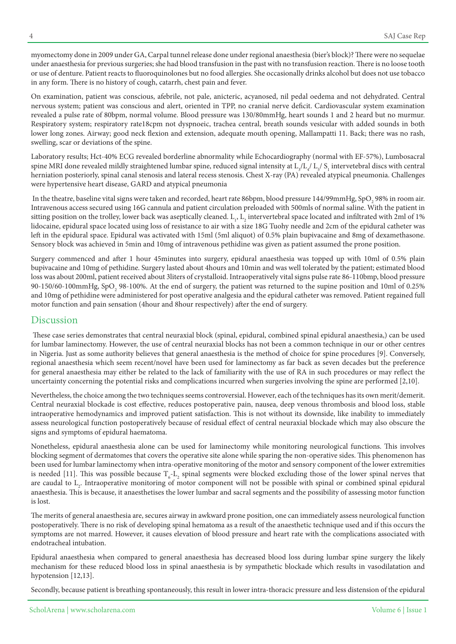myomectomy done in 2009 under GA, Carpal tunnel release done under regional anaesthesia (bier's block)? There were no sequelae under anaesthesia for previous surgeries; she had blood transfusion in the past with no transfusion reaction. There is no loose tooth or use of denture. Patient reacts to fluoroquinolones but no food allergies. She occasionally drinks alcohol but does not use tobacco in any form. There is no history of cough, catarrh, chest pain and fever.

On examination, patient was conscious, afebrile, not pale, anicteric, acyanosed, nil pedal oedema and not dehydrated. Central nervous system; patient was conscious and alert, oriented in TPP, no cranial nerve deficit. Cardiovascular system examination revealed a pulse rate of 80bpm, normal volume. Blood pressure was 130/80mmHg, heart sounds 1 and 2 heard but no murmur. Respiratory system; respiratory rate18cpm not dyspnoeic, trachea central, breath sounds vesicular with added sounds in both lower long zones. Airway; good neck flexion and extension, adequate mouth opening, Mallampatti 11. Back; there was no rash, swelling, scar or deviations of the spine.

Laboratory results; Hct-40% ECG revealed borderline abnormality while Echocardiography (normal with EF-57%), Lumbosacral spine MRI done revealed mildly straightened lumbar spine, reduced signal intensity at  $L_{3}/L_{4}/$   $L_{5}/$  S<sub>1</sub> intervetebral discs with central herniation posteriorly, spinal canal stenosis and lateral recess stenosis. Chest X-ray (PA) revealed atypical pneumonia. Challenges were hypertensive heart disease, GARD and atypical pneumonia

In the theatre, baseline vital signs were taken and recorded, heart rate 86bpm, blood pressure  $144/99$ mmHg, SpO<sub>2</sub> 98% in room air. Intravenous access secured using 16G cannula and patient circulation preloaded with 500mls of normal saline. With the patient in sitting position on the trolley, lower back was aseptically cleaned.  $\text{L}_1$ ,  $\text{L}_2$  intervertebral space located and infiltrated with 2ml of 1% lidocaine, epidural space located using loss of resistance to air with a size 18G Tuohy needle and 2cm of the epidural catheter was left in the epidural space. Epidural was activated with 15ml (5ml aliquot) of 0.5% plain bupivacaine and 8mg of dexamethasone. Sensory block was achieved in 5min and 10mg of intravenous pethidine was given as patient assumed the prone position.

Surgery commenced and after 1 hour 45minutes into surgery, epidural anaesthesia was topped up with 10ml of 0.5% plain bupivacaine and 10mg of pethidine. Surgery lasted about 4 hours and 10 min and was well tolerated by the patient; estimated blood loss was about 200ml, patient received about 3liters of crystalloid. Intraoperatively vital signs pulse rate 86-110bmp, blood pressure 90-150/60-100mmHg, SpO<sub>2</sub> 98-100%. At the end of surgery, the patient was returned to the supine position and 10ml of 0.25% and 10mg of pethidine were administered for post operative analgesia and the epidural catheter was removed. Patient regained full motor function and pain sensation (4hour and 8hour respectively) after the end of surgery.

## Discussion

These case series demonstrates that central neuraxial block (spinal, epidural, combined spinal epidural anaesthesia,) can be used for lumbar laminectomy. However, the use of central neuraxial blocks has not been a common technique in our or other centres in Nigeria. Just as some authority believes that general anaesthesia is the method of choice for spine procedures [9]. Conversely, regional anaesthesia which seem recent/novel have been used for laminectomy as far back as seven decades but the preference for general anaesthesia may either be related to the lack of familiarity with the use of RA in such procedures or may reflect the uncertainty concerning the potential risks and complications incurred when surgeries involving the spine are performed  $[2,10]$ .

Nevertheless, the choice among the two techniques seems controversial. However, each of the techniques has its own merit/demerit. Central neuraxial blockade is cost effective, reduces postoperative pain, nausea, deep venous thrombosis and blood loss, stable intraoperative hemodynamics and improved patient satisfaction. This is not without its downside, like inability to immediately assess neurological function postoperatively because of residual effect of central neuraxial blockade which may also obscure the signs and symptoms of epidural haematoma.

Nonetheless, epidural anaesthesia alone can be used for laminectomy while monitoring neurological functions. This involves blocking segment of dermatomes that covers the operative site alone while sparing the non-operative sides. This phenomenon has been used for lumbar laminectomy when intra-operative monitoring of the motor and sensory component of the lower extremities is needed [11]. This was possible because  $T_c$ -L<sub>2</sub> spinal segments were blocked excluding those of the lower spinal nerves that are caudal to  $L_2$ . Intraoperative monitoring of motor component will not be possible with spinal or combined spinal epidural anaesthesia. This is because, it anaesthetises the lower lumbar and sacral segments and the possibility of assessing motor function is lost.

The merits of general anaesthesia are, secures airway in awkward prone position, one can immediately assess neurological function postoperatively. There is no risk of developing spinal hematoma as a result of the anaesthetic technique used and if this occurs the symptoms are not marred. However, it causes elevation of blood pressure and heart rate with the complications associated with endotracheal intubation.

Epidural anaesthesia when compared to general anaesthesia has decreased blood loss during lumbar spine surgery the likely mechanism for these reduced blood loss in spinal anaesthesia is by sympathetic blockade which results in vasodilatation and hypotension  $[12,13]$ .

Secondly, because patient is breathing spontaneously, this result in lower intra-thoracic pressure and less distension of the epidural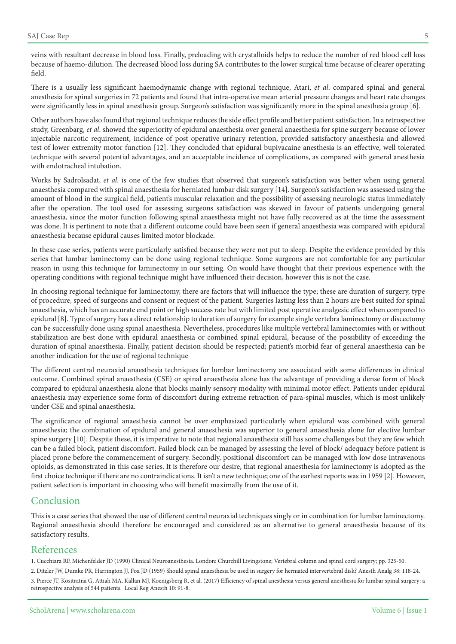veins with resultant decrease in blood loss. Finally, preloading with crystalloids helps to reduce the number of red blood cell loss because of haemo-dilution. The decreased blood loss during SA contributes to the lower surgical time because of clearer operating field.

There is a usually less significant haemodynamic change with regional technique, Atari, et al. compared spinal and general anesthesia for spinal surgeries in 72 patients and found that intra-operative mean arterial pressure changes and heart rate changes were significantly less in spinal anesthesia group. Surgeon's satisfaction was significantly more in the spinal anesthesia group [6].

Other authors have also found that regional technique reduces the side effect profile and better patient satisfaction. In a retrospective study, Greenbarg, et al. showed the superiority of epidural anaesthesia over general anaesthesia for spine surgery because of lower injectable narcotic requirement, incidence of post operative urinary retention, provided satisfactory anaesthesia and allowed test of lower extremity motor function [12]. They concluded that epidural bupivacaine anesthesia is an effective, well tolerated technique with several potential advantages, and an acceptable incidence of complications, as compared with general anesthesia with endotracheal intubation.

Works by Sadrolsadat, et al. is one of the few studies that observed that surgeon's satisfaction was better when using general anaesthesia compared with spinal anaesthesia for herniated lumbar disk surgery [14]. Surgeon's satisfaction was assessed using the amount of blood in the surgical field, patient's muscular relaxation and the possibility of assessing neurologic status immediately after the operation. The tool used for assessing surgeons satisfaction was skewed in favour of patients undergoing general anaesthesia, since the motor function following spinal anaesthesia might not have fully recovered as at the time the assessment was done. It is pertinent to note that a different outcome could have been seen if general anaesthesia was compared with epidural anaesthesia because epidural causes limited motor blockade.

In these case series, patients were particularly satisfied because they were not put to sleep. Despite the evidence provided by this series that lumbar laminectomy can be done using regional technique. Some surgeons are not comfortable for any particular reason in using this technique for laminectomy in our setting. On would have thought that their previous experience with the .coperating conditions with regional technique might have influenced their decision, however this is not the case.

In choosing regional technique for laminectomy, there are factors that will influence the type; these are duration of surgery, type of procedure, speed of surgeons and consent or request of the patient. Surgeries lasting less than 2 hours are best suited for spinal anaesthesia, which has an accurate end point or high success rate but with limited post operative analgesic effect when compared to epidural [8]. Type of surgery has a direct relationship to duration of surgery for example single vertebra laminectomy or discectomy can be successfully done using spinal anaesthesia. Nevertheless, procedures like multiple vertebral laminectomies with or without stabilization are best done with epidural anaesthesia or combined spinal epidural, because of the possibility of exceeding the duration of spinal anaesthesia. Finally, patient decision should be respected; patient's morbid fear of general anaesthesia can be another indication for the use of regional technique

The different central neuraxial anaesthesia techniques for lumbar laminectomy are associated with some differences in clinical outcome. Combined spinal anaesthesia (CSE) or spinal anaesthesia alone has the advantage of providing a dense form of block compared to epidural anaesthesia alone that blocks mainly sensory modality with minimal motor effect. Patients under epidural anaesthesia may experience some form of discomfort during extreme retraction of para-spinal muscles, which is most unlikely under CSE and spinal anaesthesia.

The significance of regional anaesthesia cannot be over emphasized particularly when epidural was combined with general anaesthesia; the combination of epidural and general anaesthesia was superior to general anaesthesia alone for elective lumbar spine surgery [10]. Despite these, it is imperative to note that regional anaesthesia still has some challenges but they are few which can be a failed block, patient discomfort. Failed block can be managed by assessing the level of block/adequacy before patient is placed prone before the commencement of surgery. Secondly, positional discomfort can be managed with low dose intravenous opioids, as demonstrated in this case series. It is therefore our desire, that regional anaesthesia for laminectomy is adopted as the first choice technique if there are no contraindications. It isn't a new technique; one of the earliest reports was in 1959 [2]. However, patient selection is important in choosing who will benefit maximally from the use of it.

## Conclusion

This is a case series that showed the use of different central neuraxial techniques singly or in combination for lumbar laminectomy. Regional anaesthesia should therefore be encouraged and considered as an alternative to general anaesthesia because of its satisfactory results.

### References

1. Cucchiara RF, Michenfelder JD (1990) Clinical Neuroanesthesia. London: Churchill Livingstone; Vertebral column and spinal cord surgery; pp. 325-50.

2. Ditzler JW, Dumke PR, Harrington JJ, Fox JD (1959) Should spinal anaesthesia be used in surgery for herniated intervertebral disk? Anesth Analg 38: 118-24. 3. Pierce JT, Kositratna G, Attiah MA, Kallan MJ, Koenigsberg R, et al. (2017) Efficiency of spinal anesthesia versus general anesthesia for lumbar spinal surgery: a retrospective analysis of 544 patients. Local Reg Anesth 10: 91-8.